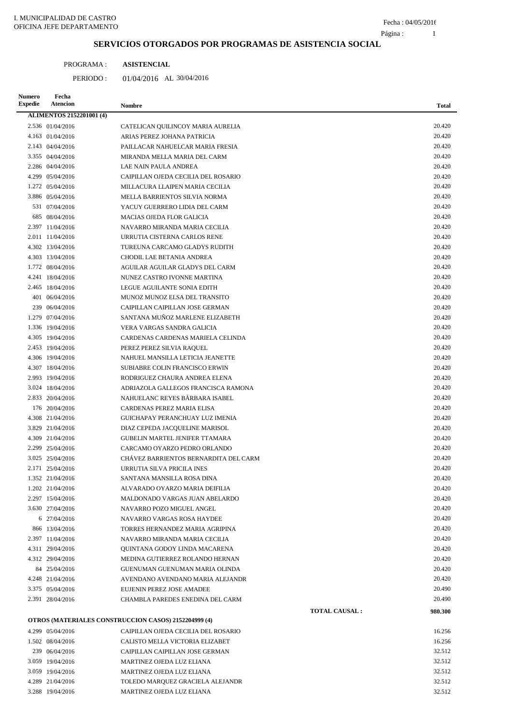L,

### **SERVICIOS OTORGADOS POR PROGRAMAS DE ASISTENCIA SOCIAL**

| PROGRAMA: | <b>ASISTENCIAL</b> |
|-----------|--------------------|
|           |                    |

PERIODO: 01/04/2016 AL 30/04/2016

| Numero<br><b>Expedie</b> | Fecha<br><b>Atencion</b>        | <b>Nombre</b>                                        |                       | Total   |
|--------------------------|---------------------------------|------------------------------------------------------|-----------------------|---------|
|                          | <b>ALIMENTOS 2152201001 (4)</b> |                                                      |                       |         |
|                          | 2.536 01/04/2016                | CATELICAN QUILINCOY MARIA AURELIA                    |                       | 20.420  |
|                          | 4.163 01/04/2016                | ARIAS PEREZ JOHANA PATRICIA                          |                       | 20.420  |
|                          | 2.143 04/04/2016                | PAILLACAR NAHUELCAR MARIA FRESIA                     |                       | 20.420  |
|                          | 3.355 04/04/2016                | MIRANDA MELLA MARIA DEL CARM                         |                       | 20.420  |
|                          | 2.286 04/04/2016                | LAE NAIN PAULA ANDREA                                |                       | 20.420  |
|                          | 4.299 05/04/2016                | CAIPILLAN OJEDA CECILIA DEL ROSARIO                  |                       | 20.420  |
|                          | 1.272 05/04/2016                | MILLACURA LLAIPEN MARIA CECILIA                      |                       | 20.420  |
|                          | 3.886 05/04/2016                | MELLA BARRIENTOS SILVIA NORMA                        |                       | 20.420  |
|                          | 531 07/04/2016                  | YACUY GUERRERO LIDIA DEL CARM                        |                       | 20.420  |
|                          | 685 08/04/2016                  | <b>MACIAS OJEDA FLOR GALICIA</b>                     |                       | 20.420  |
|                          | 2.397 11/04/2016                | NAVARRO MIRANDA MARIA CECILIA                        |                       | 20.420  |
|                          | 2.011 11/04/2016                | URRUTIA CISTERNA CARLOS RENE                         |                       | 20.420  |
|                          | 4.302 13/04/2016                | TUREUNA CARCAMO GLADYS RUDITH                        |                       | 20.420  |
|                          | 4.303 13/04/2016                | CHODIL LAE BETANIA ANDREA                            |                       | 20.420  |
|                          | 1.772 08/04/2016                | AGUILAR AGUILAR GLADYS DEL CARM                      |                       | 20.420  |
|                          | 4.241 18/04/2016                | NUNEZ CASTRO IVONNE MARTINA                          |                       | 20.420  |
|                          | 2.465 18/04/2016                | LEGUE AGUILANTE SONIA EDITH                          |                       | 20.420  |
|                          | 401 06/04/2016                  | MUNOZ MUNOZ ELSA DEL TRANSITO                        |                       | 20.420  |
|                          | 239 06/04/2016                  | CAIPILLAN CAIPILLAN JOSE GERMAN                      |                       | 20.420  |
|                          | 1.279 07/04/2016                | SANTANA MUÑOZ MARLENE ELIZABETH                      |                       | 20.420  |
|                          | 1.336 19/04/2016                | VERA VARGAS SANDRA GALICIA                           |                       | 20.420  |
|                          | 4.305 19/04/2016                | CARDENAS CARDENAS MARIELA CELINDA                    |                       | 20.420  |
|                          | 2.453 19/04/2016                | PEREZ PEREZ SILVIA RAQUEL                            |                       | 20.420  |
|                          | 4.306 19/04/2016                | NAHUEL MANSILLA LETICIA JEANETTE                     |                       | 20.420  |
|                          | 4.307 18/04/2016                | SUBIABRE COLIN FRANCISCO ERWIN                       |                       | 20.420  |
|                          | 2.993 19/04/2016                | RODRIGUEZ CHAURA ANDREA ELENA                        |                       | 20.420  |
|                          | 3.024 18/04/2016                | ADRIAZOLA GALLEGOS FRANCISCA RAMONA                  |                       | 20.420  |
|                          | 2.833 20/04/2016                | NAHUELANC REYES BÁRBARA ISABEL                       |                       | 20.420  |
|                          | 176 20/04/2016                  | CARDENAS PEREZ MARIA ELISA                           |                       | 20.420  |
|                          | 4.308 21/04/2016                | GUICHAPAY PERANCHUAY LUZ IMENIA                      |                       | 20.420  |
|                          | 3.829 21/04/2016                | DIAZ CEPEDA JACQUELINE MARISOL                       |                       | 20.420  |
|                          | 4.309 21/04/2016                | <b>GUBELIN MARTEL JENIFER TTAMARA</b>                |                       | 20.420  |
|                          | 2.299 25/04/2016                | CARCAMO OYARZO PEDRO ORLANDO                         |                       | 20.420  |
|                          | 3.025 25/04/2016                | CHÁVEZ BARRIENTOS BERNARDITA DEL CARM                |                       | 20.420  |
|                          | 2.171 25/04/2016                | URRUTIA SILVA PRICILA INES                           |                       | 20.420  |
|                          | 1.352 21/04/2016                | SANTANA MANSILLA ROSA DINA                           |                       | 20.420  |
|                          | 1.202 21/04/2016                | ALVARADO OYARZO MARIA DEIFILIA                       |                       | 20.420  |
|                          | 2.297 15/04/2016                | MALDONADO VARGAS JUAN ABELARDO                       |                       | 20.420  |
|                          | 3.630 27/04/2016                | NAVARRO POZO MIGUEL ANGEL                            |                       | 20.420  |
|                          | 6 27/04/2016                    | NAVARRO VARGAS ROSA HAYDEE                           |                       | 20.420  |
|                          | 866 13/04/2016                  | TORRES HERNANDEZ MARIA AGRIPINA                      |                       | 20.420  |
|                          | 2.397 11/04/2016                | NAVARRO MIRANDA MARIA CECILIA                        |                       | 20.420  |
|                          | 4.311 29/04/2016                | QUINTANA GODOY LINDA MACARENA                        |                       | 20.420  |
|                          | 4.312 29/04/2016                | MEDINA GUTIERREZ ROLANDO HERNAN                      |                       | 20.420  |
|                          | 84 25/04/2016                   | GUENUMAN GUENUMAN MARIA OLINDA                       |                       | 20.420  |
|                          | 4.248 21/04/2016                | AVENDANO AVENDANO MARIA ALEJANDR                     |                       | 20.420  |
|                          | 3.375 05/04/2016                | EUJENIN PEREZ JOSE AMADEE                            |                       | 20.490  |
|                          | 2.391 28/04/2016                | CHAMBLA PAREDES ENEDINA DEL CARM                     |                       | 20.490  |
|                          |                                 | OTROS (MATERIALES CONSTRUCCION CASOS) 2152204999 (4) | <b>TOTAL CAUSAL :</b> | 980.300 |
|                          | 4.299 05/04/2016                | CAIPILLAN OJEDA CECILIA DEL ROSARIO                  |                       | 16.256  |
|                          | 1.502 08/04/2016                | CALISTO MELLA VICTORIA ELIZABET                      |                       | 16.256  |
|                          | 239 06/04/2016                  | CAIPILLAN CAIPILLAN JOSE GERMAN                      |                       | 32.512  |
|                          | 3.059 19/04/2016                | MARTINEZ OJEDA LUZ ELIANA                            |                       | 32.512  |
|                          | 3.059 19/04/2016                | MARTINEZ OJEDA LUZ ELIANA                            |                       | 32.512  |
|                          | 4.289 21/04/2016                | TOLEDO MARQUEZ GRACIELA ALEJANDR                     |                       | 32.512  |
|                          | 3.288 19/04/2016                | MARTINEZ OJEDA LUZ ELIANA                            |                       | 32.512  |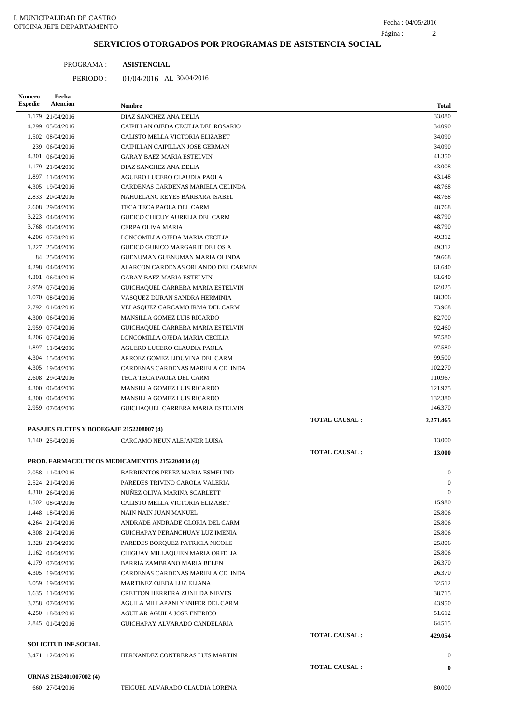#### 2 Página :

# **SERVICIOS OTORGADOS POR PROGRAMAS DE ASISTENCIA SOCIAL**

| PROGRAMA: | <b>ASISTENCIAL</b> |
|-----------|--------------------|
|           |                    |

PERIODO: 01/04/2016 AL 30/04/2016

| <b>Numero</b><br><b>Expedie</b> | Fecha<br>Atencion                        | <b>Nombre</b>                                   |                      | <b>Total</b>     |
|---------------------------------|------------------------------------------|-------------------------------------------------|----------------------|------------------|
|                                 | 1.179 21/04/2016                         | DIAZ SANCHEZ ANA DELIA                          |                      | 33.080           |
|                                 | 4.299 05/04/2016                         | CAIPILLAN OJEDA CECILIA DEL ROSARIO             |                      | 34.090           |
|                                 | 1.502 08/04/2016                         | CALISTO MELLA VICTORIA ELIZABET                 |                      | 34.090           |
|                                 | 239 06/04/2016                           | CAIPILLAN CAIPILLAN JOSE GERMAN                 |                      | 34.090           |
|                                 | 4.301 06/04/2016                         | <b>GARAY BAEZ MARIA ESTELVIN</b>                |                      | 41.350           |
|                                 | 1.179 21/04/2016                         | DIAZ SANCHEZ ANA DELIA                          |                      | 43.008           |
|                                 | 1.897 11/04/2016                         | AGUERO LUCERO CLAUDIA PAOLA                     |                      | 43.148           |
|                                 | 4.305 19/04/2016                         | CARDENAS CARDENAS MARIELA CELINDA               |                      | 48.768           |
|                                 | 2.833 20/04/2016                         | NAHUELANC REYES BÁRBARA ISABEL                  |                      | 48.768           |
|                                 | 2.608 29/04/2016                         | TECA TECA PAOLA DEL CARM                        |                      | 48.768           |
|                                 | 3.223 04/04/2016                         | GUEICO CHICUY AURELIA DEL CARM                  |                      | 48.790           |
|                                 | 3.768 06/04/2016                         | CERPA OLIVA MARIA                               |                      | 48.790           |
|                                 | 4.206 07/04/2016                         | LONCOMILLA OJEDA MARIA CECILIA                  |                      | 49.312           |
|                                 | 1.227 25/04/2016                         | <b>GUEICO GUEICO MARGARIT DE LOS A</b>          |                      | 49.312           |
|                                 | 84 25/04/2016                            | GUENUMAN GUENUMAN MARIA OLINDA                  |                      | 59.668           |
|                                 | 4.298 04/04/2016                         | ALARCON CARDENAS ORLANDO DEL CARMEN             |                      | 61.640           |
|                                 | 4.301 06/04/2016                         | <b>GARAY BAEZ MARIA ESTELVIN</b>                |                      | 61.640           |
|                                 | 2.959 07/04/2016                         | GUICHAQUEL CARRERA MARIA ESTELVIN               |                      | 62.025           |
|                                 | 1.070 08/04/2016                         | VASQUEZ DURAN SANDRA HERMINIA                   |                      | 68.306           |
|                                 | 2.792 01/04/2016                         | VELASQUEZ CARCAMO IRMA DEL CARM                 |                      | 73.968           |
|                                 | 4.300 06/04/2016                         | MANSILLA GOMEZ LUIS RICARDO                     |                      | 82.700           |
|                                 | 2.959 07/04/2016                         | GUICHAQUEL CARRERA MARIA ESTELVIN               |                      | 92.460           |
|                                 | 4.206 07/04/2016                         | LONCOMILLA OJEDA MARIA CECILIA                  |                      | 97.580           |
|                                 | 1.897 11/04/2016                         | AGUERO LUCERO CLAUDIA PAOLA                     |                      | 97.580           |
|                                 | 4.304 15/04/2016                         | ARROEZ GOMEZ LIDUVINA DEL CARM                  |                      | 99.500           |
|                                 | 4.305 19/04/2016                         | CARDENAS CARDENAS MARIELA CELINDA               |                      | 102.270          |
|                                 | 2.608 29/04/2016                         | TECA TECA PAOLA DEL CARM                        |                      | 110.967          |
|                                 | 4.300 06/04/2016                         | MANSILLA GOMEZ LUIS RICARDO                     |                      | 121.975          |
|                                 | 4.300 06/04/2016                         | MANSILLA GOMEZ LUIS RICARDO                     |                      | 132.380          |
|                                 | 2.959 07/04/2016                         | GUICHAQUEL CARRERA MARIA ESTELVIN               |                      | 146.370          |
|                                 |                                          |                                                 | <b>TOTAL CAUSAL:</b> | 2.271.465        |
|                                 | PASAJES FLETES Y BODEGAJE 2152208007 (4) |                                                 |                      |                  |
|                                 | 1.140 25/04/2016                         | CARCAMO NEUN ALEJANDR LUISA                     |                      | 13.000           |
|                                 |                                          |                                                 | <b>TOTAL CAUSAL:</b> | 13.000           |
|                                 |                                          | PROD. FARMACEUTICOS MEDICAMENTOS 2152204004 (4) |                      |                  |
|                                 | 2.058 11/04/2016                         | BARRIENTOS PEREZ MARIA ESMELIND                 |                      | $\mathbf{0}$     |
|                                 | 2.524 21/04/2016                         | PAREDES TRIVINO CAROLA VALERIA                  |                      | $\bf{0}$         |
|                                 | 4.310 26/04/2016                         | NUÑEZ OLIVA MARINA SCARLETT                     |                      | $\boldsymbol{0}$ |
|                                 | 1.502 08/04/2016                         | CALISTO MELLA VICTORIA ELIZABET                 |                      | 15.980           |
|                                 | 1.448 18/04/2016                         | NAIN NAIN JUAN MANUEL                           |                      | 25.806           |
|                                 | 4.264 21/04/2016                         | ANDRADE ANDRADE GLORIA DEL CARM                 |                      | 25.806           |
|                                 | 4.308 21/04/2016                         | GUICHAPAY PERANCHUAY LUZ IMENIA                 |                      | 25.806           |
|                                 | 1.328 21/04/2016                         | PAREDES BORQUEZ PATRICIA NICOLE                 |                      | 25.806           |
|                                 | 1.162 04/04/2016                         | CHIGUAY MILLAQUIEN MARIA ORFELIA                |                      | 25.806           |
|                                 | 4.179 07/04/2016                         | BARRIA ZAMBRANO MARIA BELEN                     |                      | 26.370           |
|                                 | 4.305 19/04/2016                         | CARDENAS CARDENAS MARIELA CELINDA               |                      | 26.370           |
|                                 | 3.059 19/04/2016                         | MARTINEZ OJEDA LUZ ELIANA                       |                      | 32.512           |
|                                 | 1.635 11/04/2016                         | CRETTON HERRERA ZUNILDA NIEVES                  |                      | 38.715           |
|                                 | 3.758 07/04/2016                         | AGUILA MILLAPANI YENIFER DEL CARM               |                      | 43.950           |
|                                 | 4.250 18/04/2016                         | AGUILAR AGUILA JOSE ENERICO                     |                      | 51.612           |
|                                 | 2.845 01/04/2016                         | GUICHAPAY ALVARADO CANDELARIA                   |                      | 64.515           |
|                                 |                                          |                                                 | <b>TOTAL CAUSAL:</b> | 429.054          |
|                                 | <b>SOLICITUD INF.SOCIAL</b>              |                                                 |                      |                  |
|                                 | 3.471 12/04/2016                         | HERNANDEZ CONTRERAS LUIS MARTIN                 |                      | $\mathbf{0}$     |
|                                 |                                          |                                                 | <b>TOTAL CAUSAL:</b> | $\bf{0}$         |
|                                 | URNAS 2152401007002 (4)                  |                                                 |                      |                  |
|                                 | 660 27/04/2016                           | TEIGUEL ALVARADO CLAUDIA LORENA                 |                      | 80.000           |